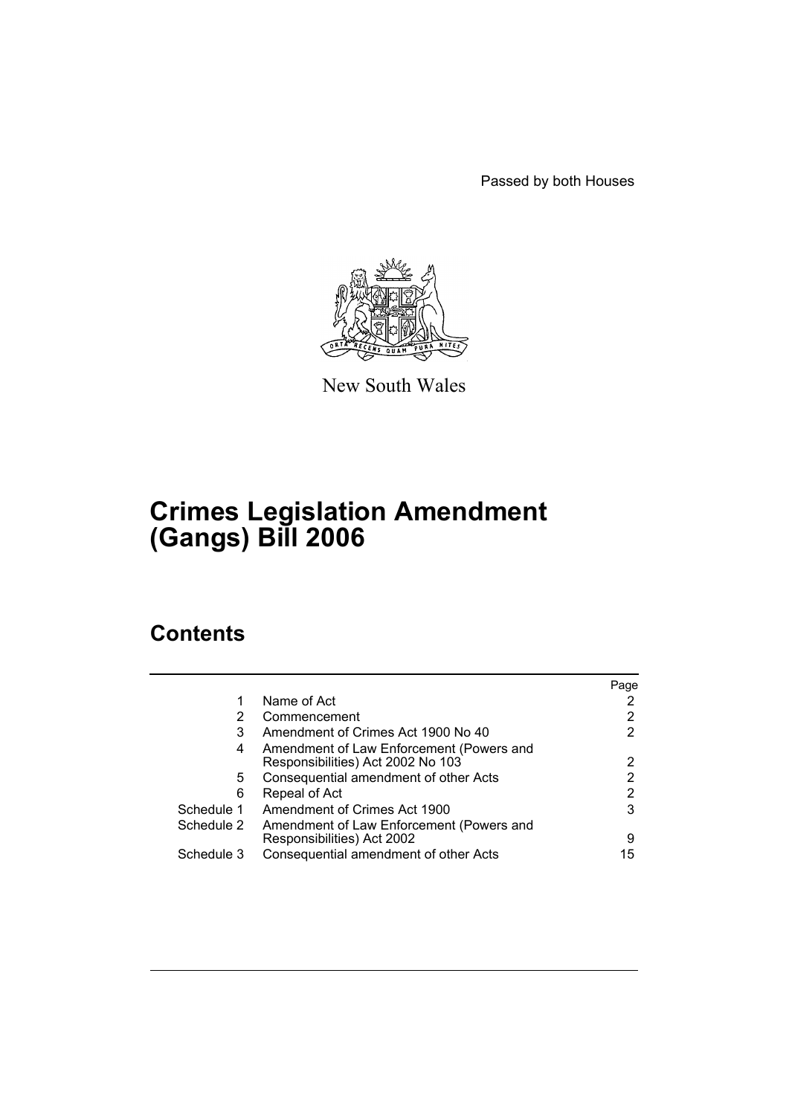Passed by both Houses



New South Wales

# **Crimes Legislation Amendment (Gangs) Bill 2006**

# **Contents**

|            |                                                                               | Page |
|------------|-------------------------------------------------------------------------------|------|
|            | Name of Act                                                                   |      |
| 2          | Commencement                                                                  |      |
| 3          | Amendment of Crimes Act 1900 No 40                                            |      |
| 4          | Amendment of Law Enforcement (Powers and<br>Responsibilities) Act 2002 No 103 | 2    |
| 5          | Consequential amendment of other Acts                                         |      |
| 6          | Repeal of Act                                                                 | 2    |
| Schedule 1 | Amendment of Crimes Act 1900                                                  | 3    |
| Schedule 2 | Amendment of Law Enforcement (Powers and                                      |      |
|            | Responsibilities) Act 2002                                                    | 9    |
| Schedule 3 | Consequential amendment of other Acts                                         | 15   |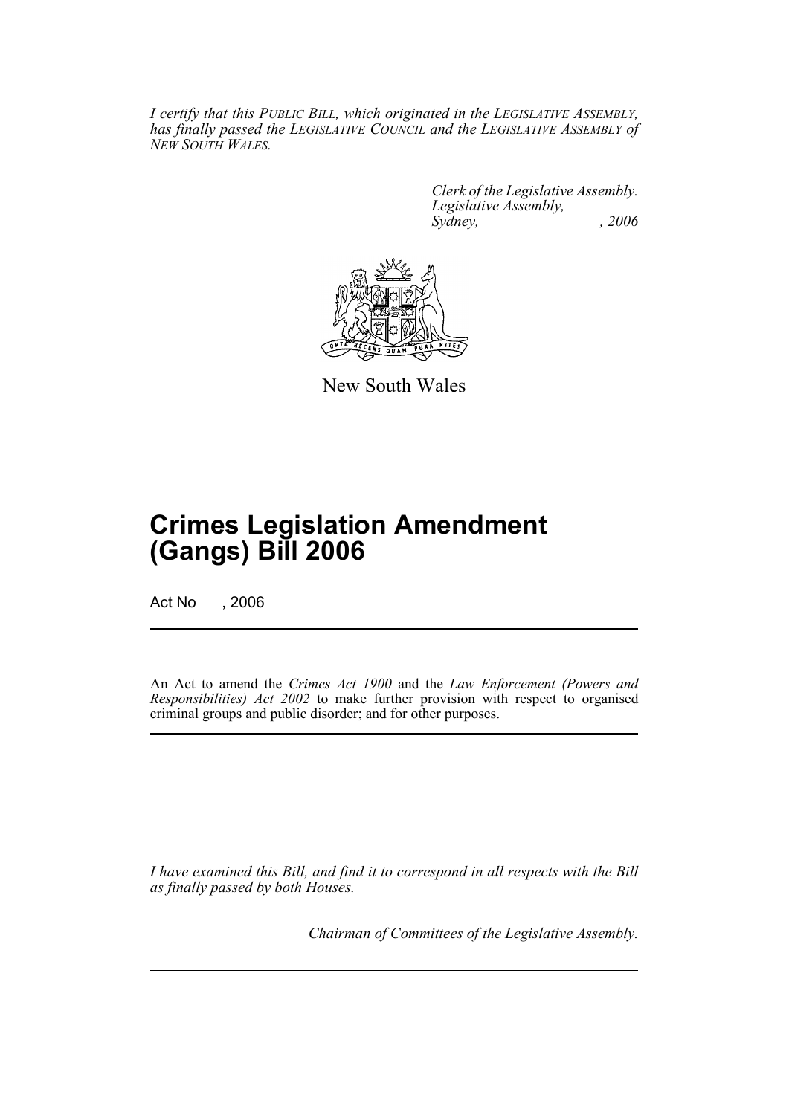*I certify that this PUBLIC BILL, which originated in the LEGISLATIVE ASSEMBLY, has finally passed the LEGISLATIVE COUNCIL and the LEGISLATIVE ASSEMBLY of NEW SOUTH WALES.*

> *Clerk of the Legislative Assembly. Legislative Assembly, Sydney, , 2006*



New South Wales

# **Crimes Legislation Amendment (Gangs) Bill 2006**

Act No . 2006

An Act to amend the *Crimes Act 1900* and the *Law Enforcement (Powers and Responsibilities) Act 2002* to make further provision with respect to organised criminal groups and public disorder; and for other purposes.

*I have examined this Bill, and find it to correspond in all respects with the Bill as finally passed by both Houses.*

*Chairman of Committees of the Legislative Assembly.*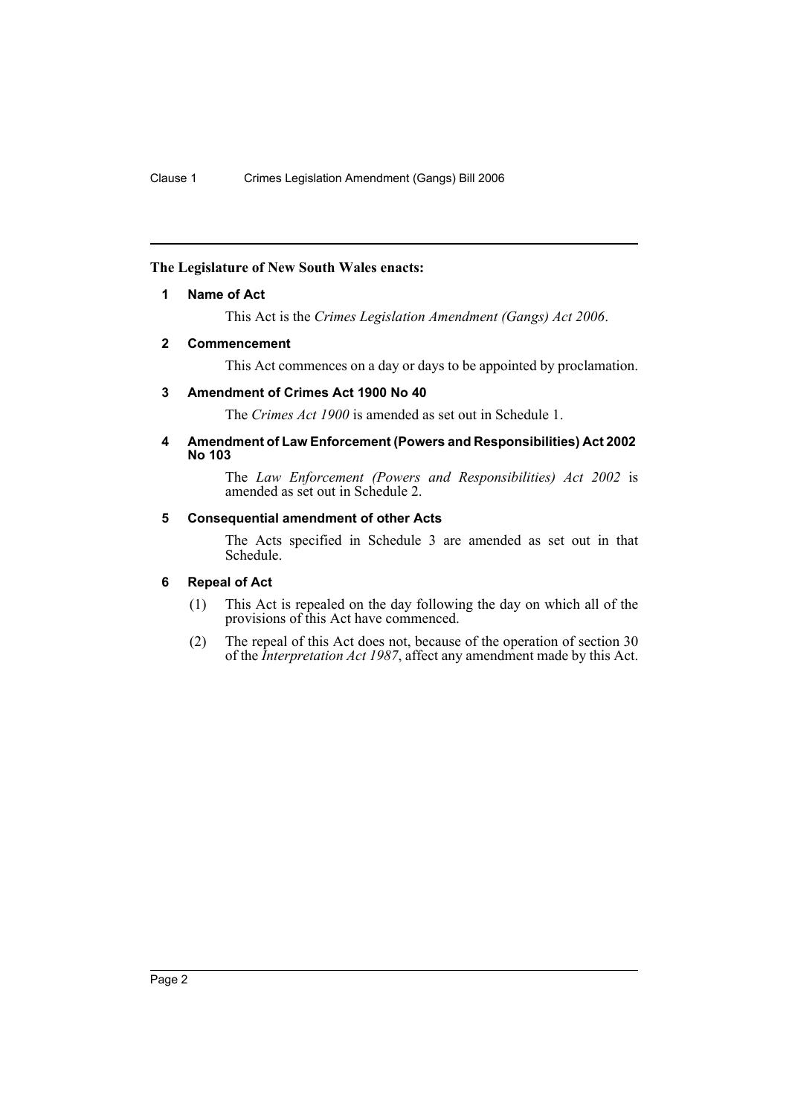# **The Legislature of New South Wales enacts:**

### **1 Name of Act**

This Act is the *Crimes Legislation Amendment (Gangs) Act 2006*.

### **2 Commencement**

This Act commences on a day or days to be appointed by proclamation.

# **3 Amendment of Crimes Act 1900 No 40**

The *Crimes Act 1900* is amended as set out in Schedule 1.

#### **4 Amendment of Law Enforcement (Powers and Responsibilities) Act 2002 No 103**

The *Law Enforcement (Powers and Responsibilities) Act 2002* is amended as set out in Schedule 2.

# **5 Consequential amendment of other Acts**

The Acts specified in Schedule 3 are amended as set out in that Schedule.

# **6 Repeal of Act**

- (1) This Act is repealed on the day following the day on which all of the provisions of this Act have commenced.
- (2) The repeal of this Act does not, because of the operation of section 30 of the *Interpretation Act 1987*, affect any amendment made by this Act.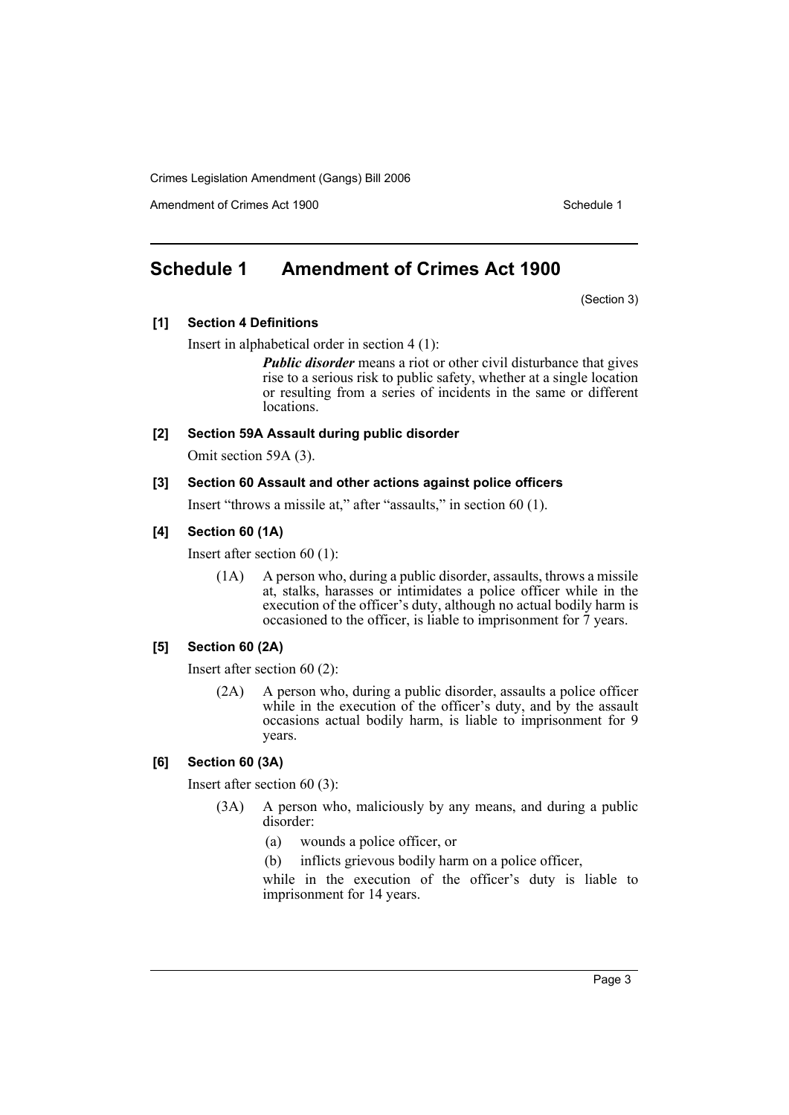Amendment of Crimes Act 1900 New York 1900 New York 1900 New York 1900 Schedule 1

# **Schedule 1 Amendment of Crimes Act 1900**

(Section 3)

### **[1] Section 4 Definitions**

Insert in alphabetical order in section 4 (1):

*Public disorder* means a riot or other civil disturbance that gives rise to a serious risk to public safety, whether at a single location or resulting from a series of incidents in the same or different locations.

#### **[2] Section 59A Assault during public disorder**

Omit section 59A (3).

### **[3] Section 60 Assault and other actions against police officers**

Insert "throws a missile at," after "assaults," in section 60 (1).

#### **[4] Section 60 (1A)**

Insert after section 60 (1):

(1A) A person who, during a public disorder, assaults, throws a missile at, stalks, harasses or intimidates a police officer while in the execution of the officer's duty, although no actual bodily harm is occasioned to the officer, is liable to imprisonment for  $\bar{7}$  years.

#### **[5] Section 60 (2A)**

Insert after section 60 (2):

(2A) A person who, during a public disorder, assaults a police officer while in the execution of the officer's duty, and by the assault occasions actual bodily harm, is liable to imprisonment for 9 years.

#### **[6] Section 60 (3A)**

Insert after section 60 (3):

- (3A) A person who, maliciously by any means, and during a public disorder:
	- (a) wounds a police officer, or
	- (b) inflicts grievous bodily harm on a police officer,

while in the execution of the officer's duty is liable to imprisonment for 14 years.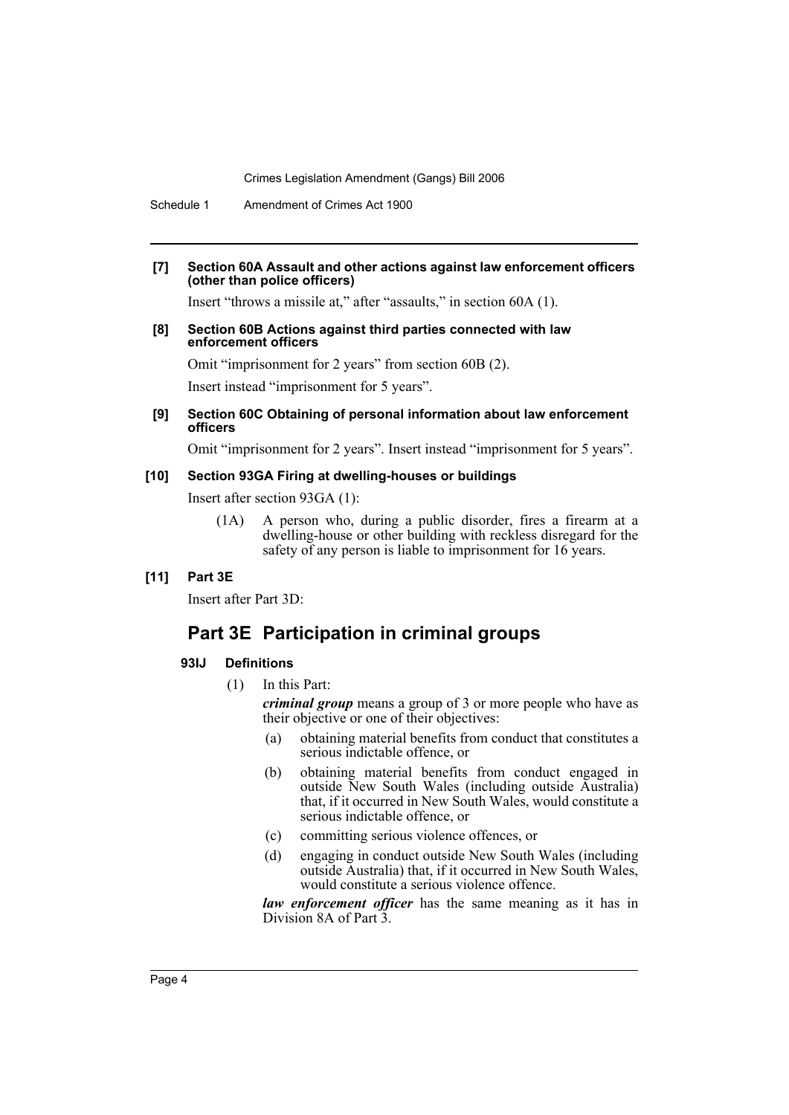Schedule 1 Amendment of Crimes Act 1900

#### **[7] Section 60A Assault and other actions against law enforcement officers (other than police officers)**

Insert "throws a missile at," after "assaults," in section 60A (1).

#### **[8] Section 60B Actions against third parties connected with law enforcement officers**

Omit "imprisonment for 2 years" from section 60B (2).

Insert instead "imprisonment for 5 years".

#### **[9] Section 60C Obtaining of personal information about law enforcement officers**

Omit "imprisonment for 2 years". Insert instead "imprisonment for 5 years".

#### **[10] Section 93GA Firing at dwelling-houses or buildings**

Insert after section 93GA (1):

(1A) A person who, during a public disorder, fires a firearm at a dwelling-house or other building with reckless disregard for the safety of any person is liable to imprisonment for 16 years.

## **[11] Part 3E**

Insert after Part 3D:

# **Part 3E Participation in criminal groups**

## **93IJ Definitions**

(1) In this Part:

*criminal group* means a group of 3 or more people who have as their objective or one of their objectives:

- (a) obtaining material benefits from conduct that constitutes a serious indictable offence, or
- (b) obtaining material benefits from conduct engaged in outside New South Wales (including outside Australia) that, if it occurred in New South Wales, would constitute a serious indictable offence, or
- (c) committing serious violence offences, or
- (d) engaging in conduct outside New South Wales (including outside Australia) that, if it occurred in New South Wales, would constitute a serious violence offence.

*law enforcement officer* has the same meaning as it has in Division 8A of Part 3.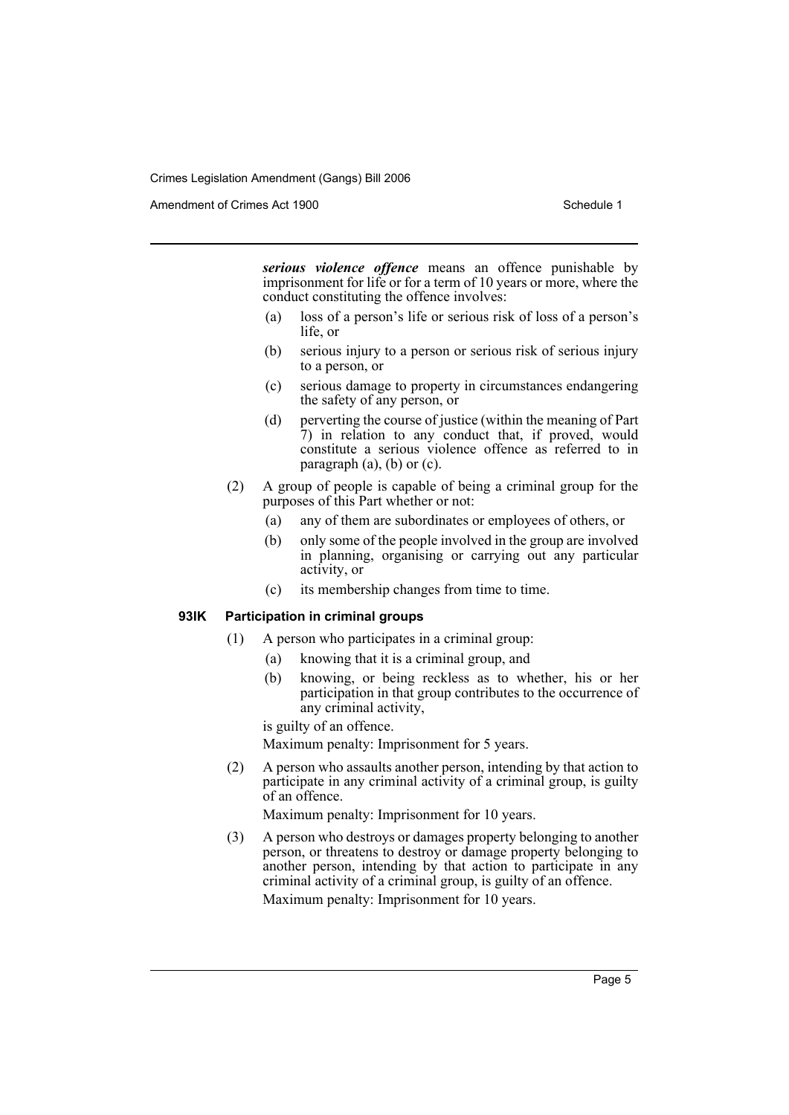Amendment of Crimes Act 1900 New York 1900 New York 1900 New York 1900 Schedule 1

*serious violence offence* means an offence punishable by imprisonment for life or for a term of 10 years or more, where the conduct constituting the offence involves:

- (a) loss of a person's life or serious risk of loss of a person's life, or
- (b) serious injury to a person or serious risk of serious injury to a person, or
- (c) serious damage to property in circumstances endangering the safety of any person, or
- (d) perverting the course of justice (within the meaning of Part 7) in relation to any conduct that, if proved, would constitute a serious violence offence as referred to in paragraph  $(a)$ ,  $(b)$  or  $(c)$ .
- (2) A group of people is capable of being a criminal group for the purposes of this Part whether or not:
	- (a) any of them are subordinates or employees of others, or
	- (b) only some of the people involved in the group are involved in planning, organising or carrying out any particular activity, or
	- (c) its membership changes from time to time.

#### **93IK Participation in criminal groups**

- (1) A person who participates in a criminal group:
	- (a) knowing that it is a criminal group, and
	- (b) knowing, or being reckless as to whether, his or her participation in that group contributes to the occurrence of any criminal activity,

is guilty of an offence.

Maximum penalty: Imprisonment for 5 years.

(2) A person who assaults another person, intending by that action to participate in any criminal activity of a criminal group, is guilty of an offence.

Maximum penalty: Imprisonment for 10 years.

(3) A person who destroys or damages property belonging to another person, or threatens to destroy or damage property belonging to another person, intending by that action to participate in any criminal activity of a criminal group, is guilty of an offence. Maximum penalty: Imprisonment for 10 years.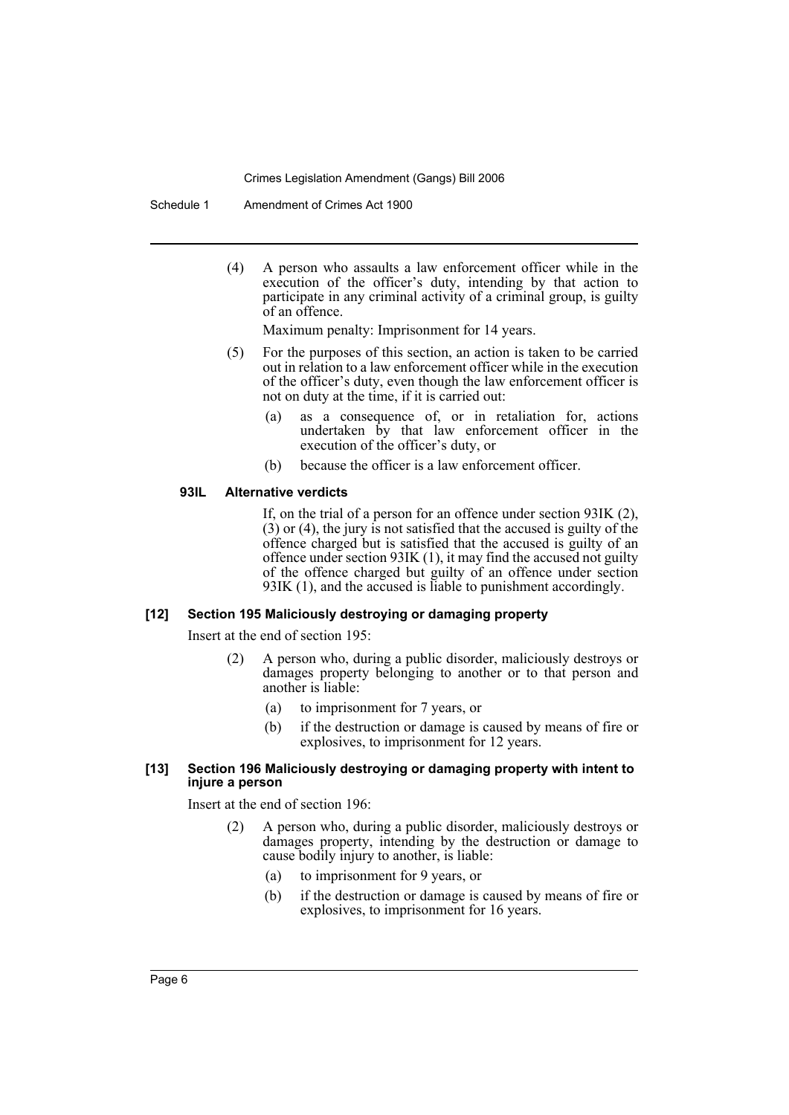Schedule 1 Amendment of Crimes Act 1900

(4) A person who assaults a law enforcement officer while in the execution of the officer's duty, intending by that action to participate in any criminal activity of a criminal group, is guilty of an offence.

Maximum penalty: Imprisonment for 14 years.

- (5) For the purposes of this section, an action is taken to be carried out in relation to a law enforcement officer while in the execution of the officer's duty, even though the law enforcement officer is not on duty at the time, if it is carried out:
	- (a) as a consequence of, or in retaliation for, actions undertaken by that law enforcement officer in the execution of the officer's duty, or
	- (b) because the officer is a law enforcement officer.

#### **93IL Alternative verdicts**

If, on the trial of a person for an offence under section 93IK (2),  $(3)$  or  $(4)$ , the jury is not satisfied that the accused is guilty of the offence charged but is satisfied that the accused is guilty of an offence under section 93IK (1), it may find the accused not guilty of the offence charged but guilty of an offence under section 93IK (1), and the accused is liable to punishment accordingly.

#### **[12] Section 195 Maliciously destroying or damaging property**

Insert at the end of section 195:

- (2) A person who, during a public disorder, maliciously destroys or damages property belonging to another or to that person and another is liable:
	- (a) to imprisonment for 7 years, or
	- (b) if the destruction or damage is caused by means of fire or explosives, to imprisonment for 12 years.

#### **[13] Section 196 Maliciously destroying or damaging property with intent to injure a person**

Insert at the end of section 196:

- (2) A person who, during a public disorder, maliciously destroys or damages property, intending by the destruction or damage to cause bodily injury to another, is liable:
	- (a) to imprisonment for 9 years, or
	- (b) if the destruction or damage is caused by means of fire or explosives, to imprisonment for 16 years.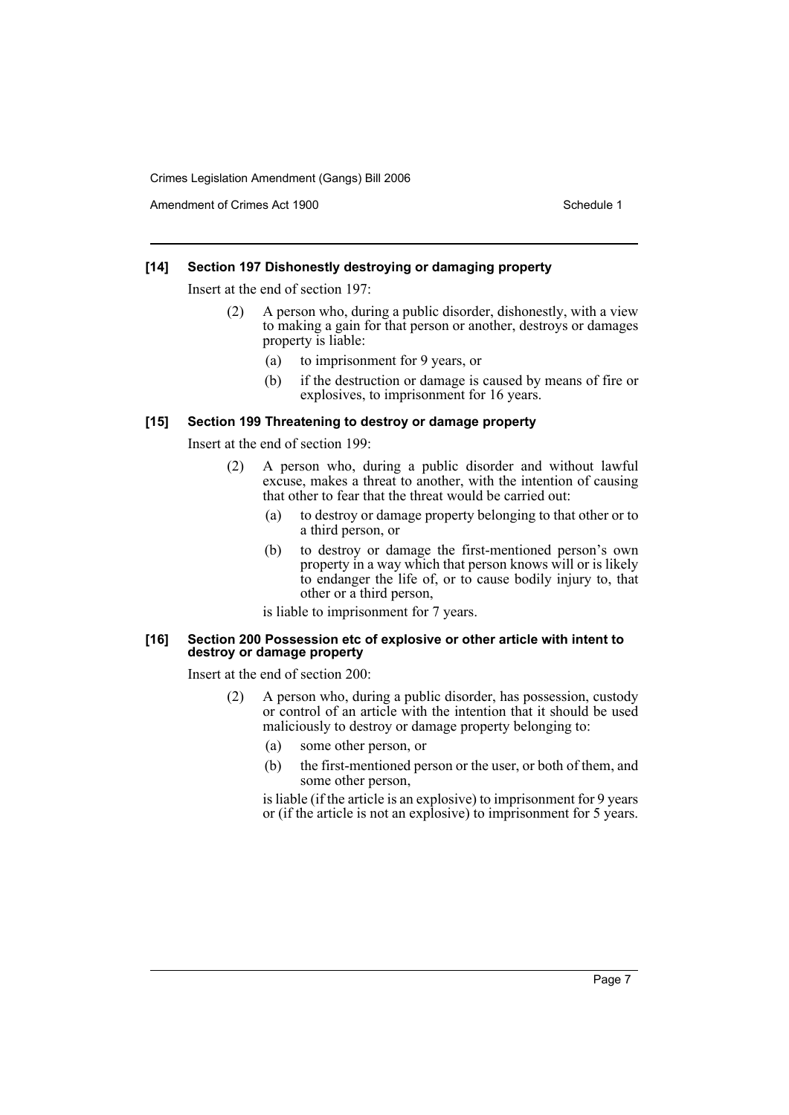Amendment of Crimes Act 1900 New York 1900 Network 1900 Schedule 1

#### **[14] Section 197 Dishonestly destroying or damaging property**

Insert at the end of section 197:

- (2) A person who, during a public disorder, dishonestly, with a view to making a gain for that person or another, destroys or damages property is liable:
	- (a) to imprisonment for 9 years, or
	- (b) if the destruction or damage is caused by means of fire or explosives, to imprisonment for 16 years.

#### **[15] Section 199 Threatening to destroy or damage property**

Insert at the end of section 199:

- (2) A person who, during a public disorder and without lawful excuse, makes a threat to another, with the intention of causing that other to fear that the threat would be carried out:
	- (a) to destroy or damage property belonging to that other or to a third person, or
	- (b) to destroy or damage the first-mentioned person's own property in a way which that person knows will or is likely to endanger the life of, or to cause bodily injury to, that other or a third person,

is liable to imprisonment for 7 years.

#### **[16] Section 200 Possession etc of explosive or other article with intent to destroy or damage property**

Insert at the end of section 200:

- (2) A person who, during a public disorder, has possession, custody or control of an article with the intention that it should be used maliciously to destroy or damage property belonging to:
	- (a) some other person, or
	- (b) the first-mentioned person or the user, or both of them, and some other person,

is liable (if the article is an explosive) to imprisonment for 9 years or (if the article is not an explosive) to imprisonment for 5 years.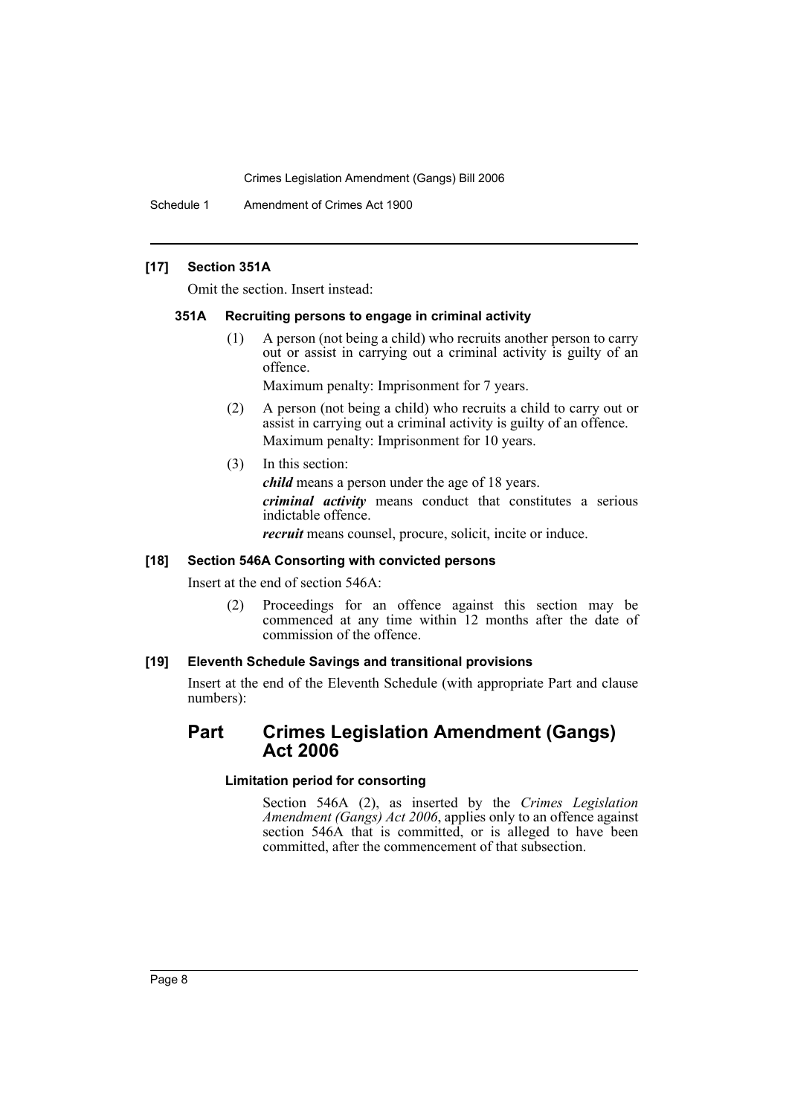Schedule 1 Amendment of Crimes Act 1900

### **[17] Section 351A**

Omit the section. Insert instead:

#### **351A Recruiting persons to engage in criminal activity**

(1) A person (not being a child) who recruits another person to carry out or assist in carrying out a criminal activity is guilty of an offence.

Maximum penalty: Imprisonment for 7 years.

- (2) A person (not being a child) who recruits a child to carry out or assist in carrying out a criminal activity is guilty of an offence. Maximum penalty: Imprisonment for 10 years.
- (3) In this section:

*child* means a person under the age of 18 years.

*criminal activity* means conduct that constitutes a serious indictable offence.

*recruit* means counsel, procure, solicit, incite or induce.

#### **[18] Section 546A Consorting with convicted persons**

Insert at the end of section 546A:

(2) Proceedings for an offence against this section may be commenced at any time within 12 months after the date of commission of the offence.

#### **[19] Eleventh Schedule Savings and transitional provisions**

Insert at the end of the Eleventh Schedule (with appropriate Part and clause numbers):

# **Part Crimes Legislation Amendment (Gangs) Act 2006**

## **Limitation period for consorting**

Section 546A (2), as inserted by the *Crimes Legislation Amendment (Gangs) Act 2006*, applies only to an offence against section 546A that is committed, or is alleged to have been committed, after the commencement of that subsection.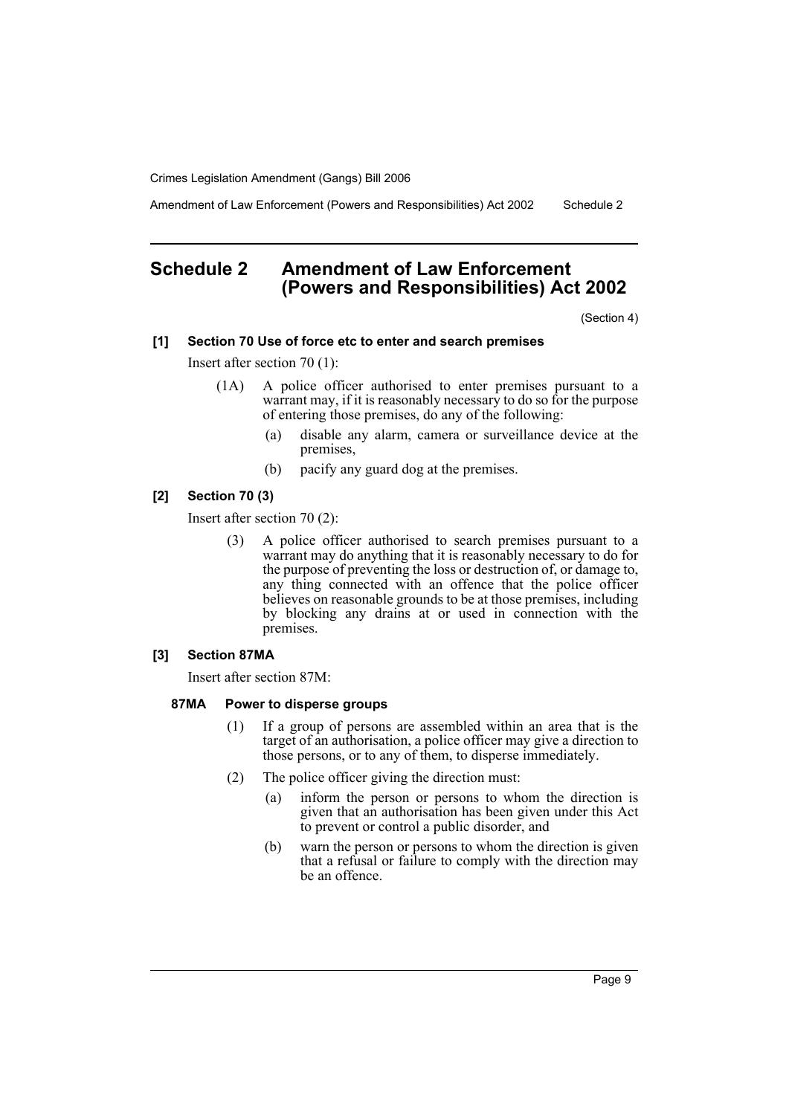Amendment of Law Enforcement (Powers and Responsibilities) Act 2002 Schedule 2

# **Schedule 2 Amendment of Law Enforcement (Powers and Responsibilities) Act 2002**

(Section 4)

#### **[1] Section 70 Use of force etc to enter and search premises**

Insert after section 70 (1):

- (1A) A police officer authorised to enter premises pursuant to a warrant may, if it is reasonably necessary to do so for the purpose of entering those premises, do any of the following:
	- (a) disable any alarm, camera or surveillance device at the premises,
	- (b) pacify any guard dog at the premises.

## **[2] Section 70 (3)**

Insert after section 70 (2):

(3) A police officer authorised to search premises pursuant to a warrant may do anything that it is reasonably necessary to do for the purpose of preventing the loss or destruction of, or damage to, any thing connected with an offence that the police officer believes on reasonable grounds to be at those premises, including by blocking any drains at or used in connection with the premises.

# **[3] Section 87MA**

Insert after section 87M:

#### **87MA Power to disperse groups**

- (1) If a group of persons are assembled within an area that is the target of an authorisation, a police officer may give a direction to those persons, or to any of them, to disperse immediately.
- (2) The police officer giving the direction must:
	- (a) inform the person or persons to whom the direction is given that an authorisation has been given under this Act to prevent or control a public disorder, and
	- (b) warn the person or persons to whom the direction is given that a refusal or failure to comply with the direction may be an offence.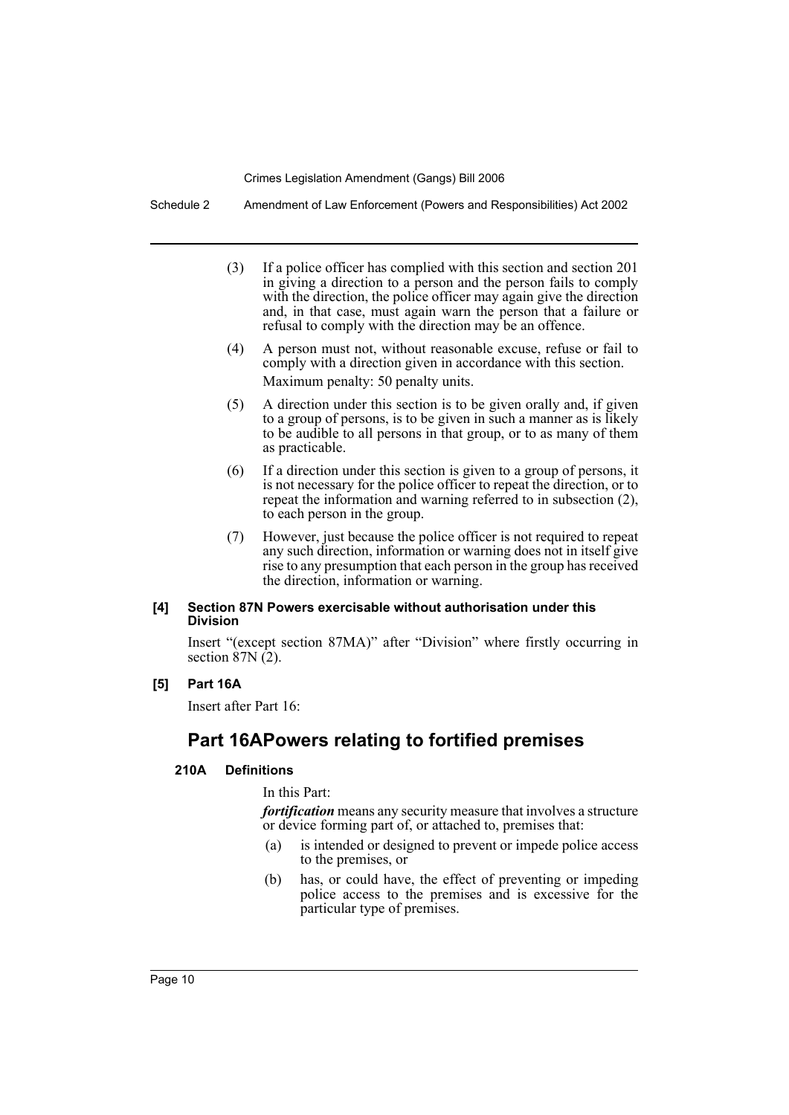Schedule 2 Amendment of Law Enforcement (Powers and Responsibilities) Act 2002

- (3) If a police officer has complied with this section and section 201 in giving a direction to a person and the person fails to comply with the direction, the police officer may again give the direction and, in that case, must again warn the person that a failure or refusal to comply with the direction may be an offence.
- (4) A person must not, without reasonable excuse, refuse or fail to comply with a direction given in accordance with this section. Maximum penalty: 50 penalty units.
- (5) A direction under this section is to be given orally and, if given to a group of persons, is to be given in such a manner as is likely to be audible to all persons in that group, or to as many of them as practicable.
- (6) If a direction under this section is given to a group of persons, it is not necessary for the police officer to repeat the direction, or to repeat the information and warning referred to in subsection (2), to each person in the group.
- (7) However, just because the police officer is not required to repeat any such direction, information or warning does not in itself give rise to any presumption that each person in the group has received the direction, information or warning.

### **[4] Section 87N Powers exercisable without authorisation under this Division**

Insert "(except section 87MA)" after "Division" where firstly occurring in section  $87N(2)$ .

#### **[5] Part 16A**

Insert after Part 16:

# **Part 16APowers relating to fortified premises**

# **210A Definitions**

In this Part:

*fortification* means any security measure that involves a structure or device forming part of, or attached to, premises that:

- (a) is intended or designed to prevent or impede police access to the premises, or
- (b) has, or could have, the effect of preventing or impeding police access to the premises and is excessive for the particular type of premises.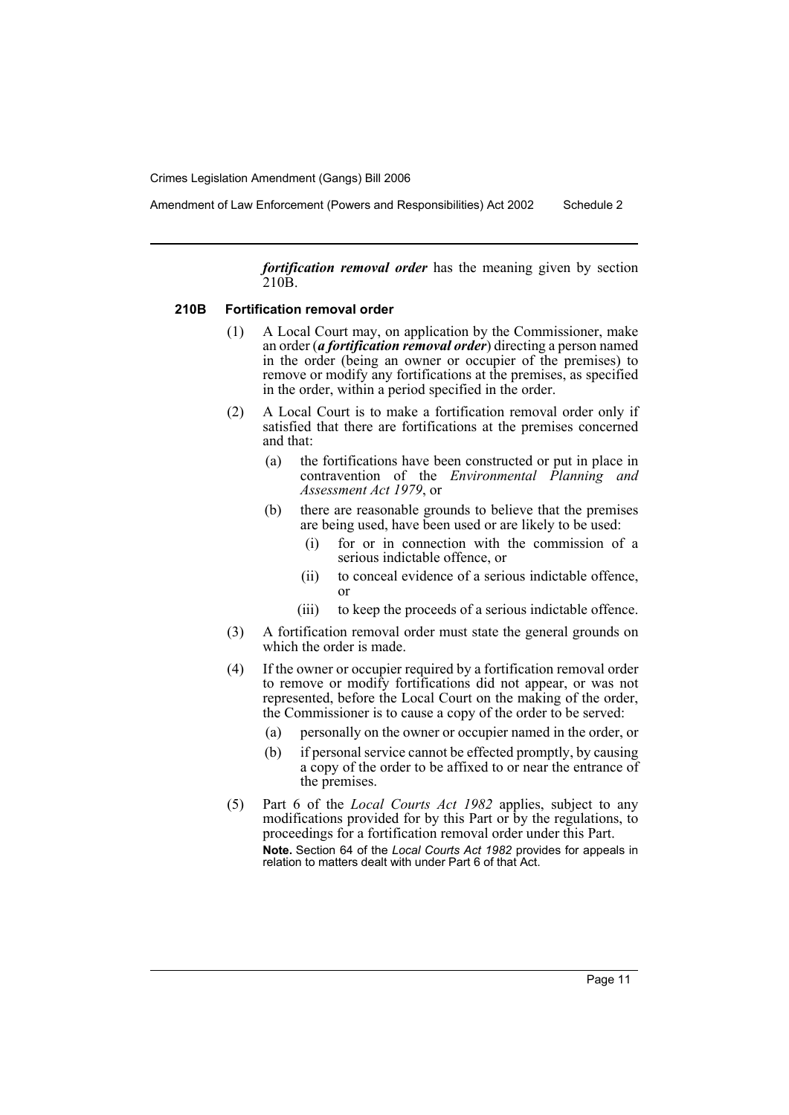Amendment of Law Enforcement (Powers and Responsibilities) Act 2002 Schedule 2

*fortification removal order* has the meaning given by section 210B.

#### **210B Fortification removal order**

- (1) A Local Court may, on application by the Commissioner, make an order (*a fortification removal order*) directing a person named in the order (being an owner or occupier of the premises) to remove or modify any fortifications at the premises, as specified in the order, within a period specified in the order.
- (2) A Local Court is to make a fortification removal order only if satisfied that there are fortifications at the premises concerned and that:
	- (a) the fortifications have been constructed or put in place in contravention of the *Environmental Planning and Assessment Act 1979*, or
	- (b) there are reasonable grounds to believe that the premises are being used, have been used or are likely to be used:
		- (i) for or in connection with the commission of a serious indictable offence, or
		- (ii) to conceal evidence of a serious indictable offence, or
		- (iii) to keep the proceeds of a serious indictable offence.
- (3) A fortification removal order must state the general grounds on which the order is made.
- (4) If the owner or occupier required by a fortification removal order to remove or modify fortifications did not appear, or was not represented, before the Local Court on the making of the order, the Commissioner is to cause a copy of the order to be served:
	- (a) personally on the owner or occupier named in the order, or
	- (b) if personal service cannot be effected promptly, by causing a copy of the order to be affixed to or near the entrance of the premises.
- (5) Part 6 of the *Local Courts Act 1982* applies, subject to any modifications provided for by this Part or by the regulations, to proceedings for a fortification removal order under this Part. **Note.** Section 64 of the *Local Courts Act 1982* provides for appeals in relation to matters dealt with under Part 6 of that Act.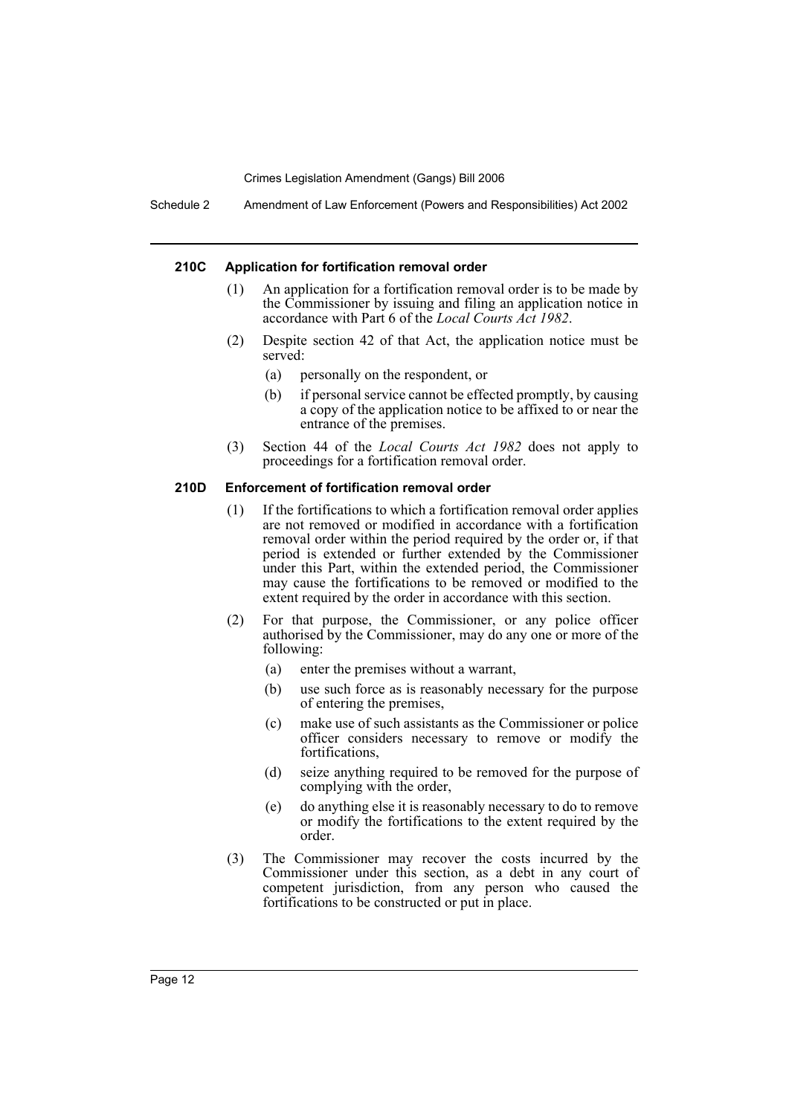Schedule 2 Amendment of Law Enforcement (Powers and Responsibilities) Act 2002

#### **210C Application for fortification removal order**

- (1) An application for a fortification removal order is to be made by the Commissioner by issuing and filing an application notice in accordance with Part 6 of the *Local Courts Act 1982*.
- (2) Despite section 42 of that Act, the application notice must be served:
	- (a) personally on the respondent, or
	- (b) if personal service cannot be effected promptly, by causing a copy of the application notice to be affixed to or near the entrance of the premises.
- (3) Section 44 of the *Local Courts Act 1982* does not apply to proceedings for a fortification removal order.

#### **210D Enforcement of fortification removal order**

- (1) If the fortifications to which a fortification removal order applies are not removed or modified in accordance with a fortification removal order within the period required by the order or, if that period is extended or further extended by the Commissioner under this Part, within the extended period, the Commissioner may cause the fortifications to be removed or modified to the extent required by the order in accordance with this section.
- (2) For that purpose, the Commissioner, or any police officer authorised by the Commissioner, may do any one or more of the following:
	- (a) enter the premises without a warrant,
	- (b) use such force as is reasonably necessary for the purpose of entering the premises,
	- (c) make use of such assistants as the Commissioner or police officer considers necessary to remove or modify the fortifications,
	- (d) seize anything required to be removed for the purpose of complying with the order,
	- (e) do anything else it is reasonably necessary to do to remove or modify the fortifications to the extent required by the order.
- (3) The Commissioner may recover the costs incurred by the Commissioner under this section, as a debt in any court of competent jurisdiction, from any person who caused the fortifications to be constructed or put in place.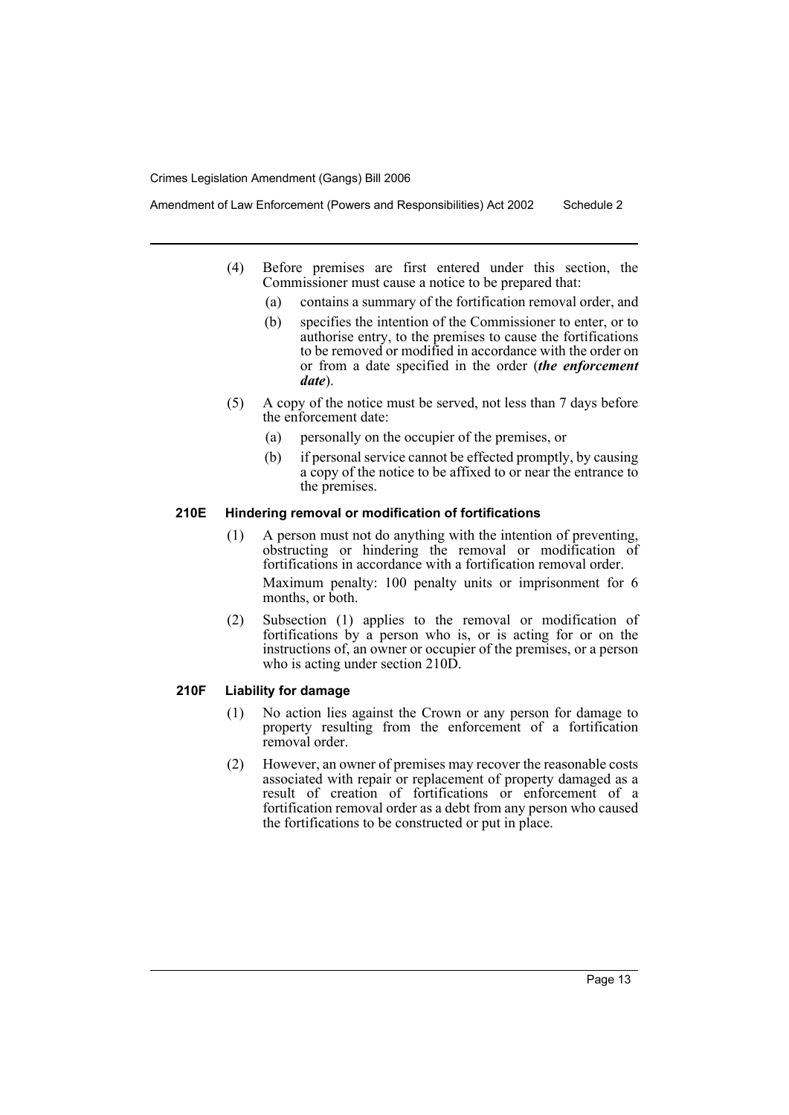- (4) Before premises are first entered under this section, the Commissioner must cause a notice to be prepared that:
	- (a) contains a summary of the fortification removal order, and
	- (b) specifies the intention of the Commissioner to enter, or to authorise entry, to the premises to cause the fortifications to be removed or modified in accordance with the order on or from a date specified in the order (*the enforcement date*).
- (5) A copy of the notice must be served, not less than 7 days before the enforcement date:
	- (a) personally on the occupier of the premises, or
	- (b) if personal service cannot be effected promptly, by causing a copy of the notice to be affixed to or near the entrance to the premises.

#### **210E Hindering removal or modification of fortifications**

- (1) A person must not do anything with the intention of preventing, obstructing or hindering the removal or modification of fortifications in accordance with a fortification removal order. Maximum penalty: 100 penalty units or imprisonment for 6 months, or both.
- (2) Subsection (1) applies to the removal or modification of fortifications by a person who is, or is acting for or on the instructions of, an owner or occupier of the premises, or a person who is acting under section 210D.

# **210F Liability for damage**

- (1) No action lies against the Crown or any person for damage to property resulting from the enforcement of a fortification removal order.
- (2) However, an owner of premises may recover the reasonable costs associated with repair or replacement of property damaged as a result of creation of fortifications or enforcement of a fortification removal order as a debt from any person who caused the fortifications to be constructed or put in place.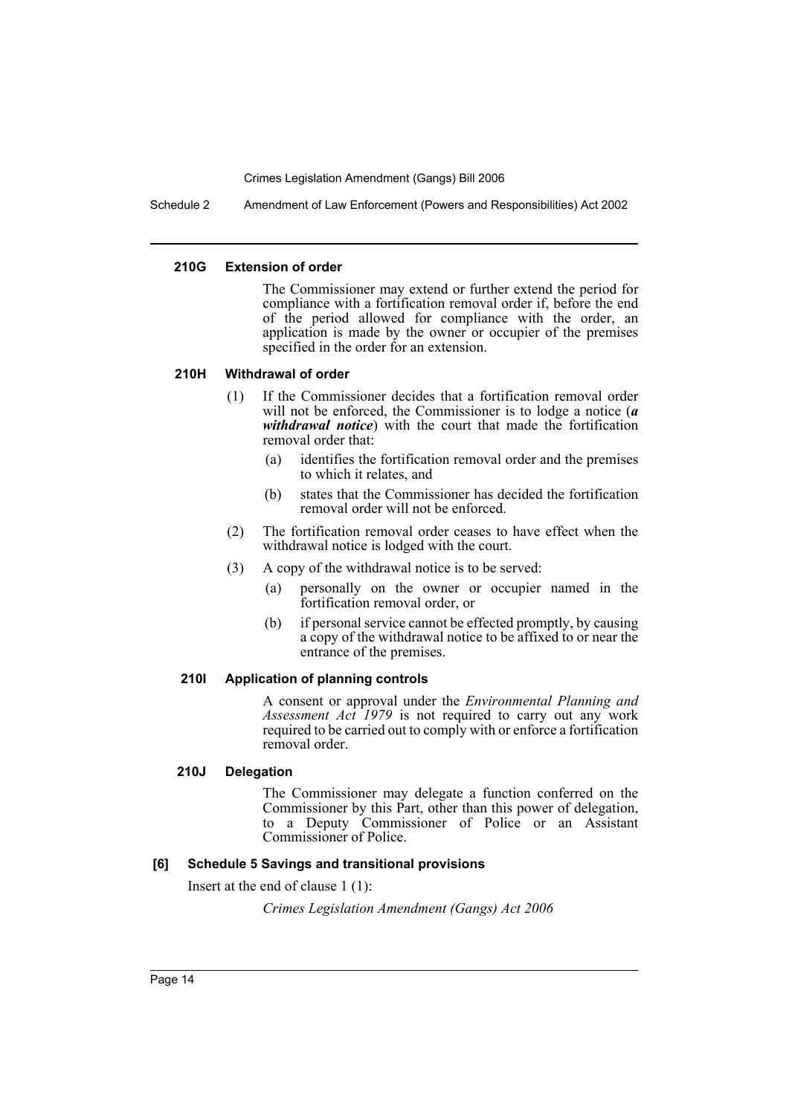Schedule 2 Amendment of Law Enforcement (Powers and Responsibilities) Act 2002

#### **210G Extension of order**

The Commissioner may extend or further extend the period for compliance with a fortification removal order if, before the end of the period allowed for compliance with the order, an application is made by the owner or occupier of the premises specified in the order for an extension.

### **210H Withdrawal of order**

- (1) If the Commissioner decides that a fortification removal order will not be enforced, the Commissioner is to lodge a notice (*a withdrawal notice*) with the court that made the fortification removal order that:
	- (a) identifies the fortification removal order and the premises to which it relates, and
	- (b) states that the Commissioner has decided the fortification removal order will not be enforced.
- (2) The fortification removal order ceases to have effect when the withdrawal notice is lodged with the court.
- (3) A copy of the withdrawal notice is to be served:
	- (a) personally on the owner or occupier named in the fortification removal order, or
	- (b) if personal service cannot be effected promptly, by causing a copy of the withdrawal notice to be affixed to or near the entrance of the premises.

# **210I Application of planning controls**

A consent or approval under the *Environmental Planning and Assessment Act 1979* is not required to carry out any work required to be carried out to comply with or enforce a fortification removal order.

# **210J Delegation**

The Commissioner may delegate a function conferred on the Commissioner by this Part, other than this power of delegation, to a Deputy Commissioner of Police or an Assistant Commissioner of Police.

# **[6] Schedule 5 Savings and transitional provisions**

Insert at the end of clause 1 (1):

*Crimes Legislation Amendment (Gangs) Act 2006*